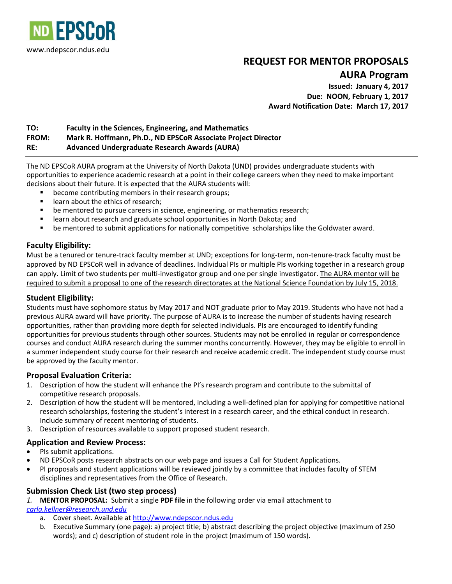

# **REQUEST FOR MENTOR PROPOSALS**

**AURA Program**

**Issued: January 4, 2017 Due: NOON, February 1, 2017 Award Notification Date: March 17, 2017**

## **TO: Faculty in the Sciences, Engineering, and Mathematics FROM: Mark R. Hoffmann, Ph.D., ND EPSCoR Associate Project Director RE: Advanced Undergraduate Research Awards (AURA)**

The ND EPSCoR AURA program at the University of North Dakota (UND) provides undergraduate students with opportunities to experience academic research at a point in their college careers when they need to make important decisions about their future. It is expected that the AURA students will:

- become contributing members in their research groups;
- **EXEC** learn about the ethics of research;
- be mentored to pursue careers in science, engineering, or mathematics research;
- learn about research and graduate school opportunities in North Dakota; and
- be mentored to submit applications for nationally competitive scholarships like the Goldwater award.

## **Faculty Eligibility:**

Must be a tenured or tenure-track faculty member at UND; exceptions for long-term, non-tenure-track faculty must be approved by ND EPSCoR well in advance of deadlines. Individual PIs or multiple PIs working together in a research group can apply. Limit of two students per multi-investigator group and one per single investigator. The AURA mentor will be required to submit a proposal to one of the research directorates at the National Science Foundation by July 15, 2018.

## **Student Eligibility:**

Students must have sophomore status by May 2017 and NOT graduate prior to May 2019. Students who have not had a previous AURA award will have priority. The purpose of AURA is to increase the number of students having research opportunities, rather than providing more depth for selected individuals. PIs are encouraged to identify funding opportunities for previous students through other sources. Students may not be enrolled in regular or correspondence courses and conduct AURA research during the summer months concurrently. However, they may be eligible to enroll in a summer independent study course for their research and receive academic credit. The independent study course must be approved by the faculty mentor.

## **Proposal Evaluation Criteria:**

- 1. Description of how the student will enhance the PI's research program and contribute to the submittal of competitive research proposals.
- 2. Description of how the student will be mentored, including a well-defined plan for applying for competitive national research scholarships, fostering the student's interest in a research career, and the ethical conduct in research. Include summary of recent mentoring of students.
- 3. Description of resources available to support proposed student research.

## **Application and Review Process:**

- PIs submit applications.
- ND EPSCoR posts research abstracts on our web page and issues a Call for Student Applications.
- PI proposals and student applications will be reviewed jointly by a committee that includes faculty of STEM disciplines and representatives from the Office of Research.

## **Submission Check List (two step process)**

*1.* **MENTOR PROPOSAL:** Submit a single **PDF file** in the following order via email attachment to

*[carla.kellner@research.und.edu](mailto:carla.kellner@research.und.edu)*

- a. Cover sheet. Available at [http://www.ndepscor.ndus.edu](http://www.ndepscor.ndus.edu/)
- b. Executive Summary (one page): a) project title; b) abstract describing the project objective (maximum of 250 words); and c) description of student role in the project (maximum of 150 words).